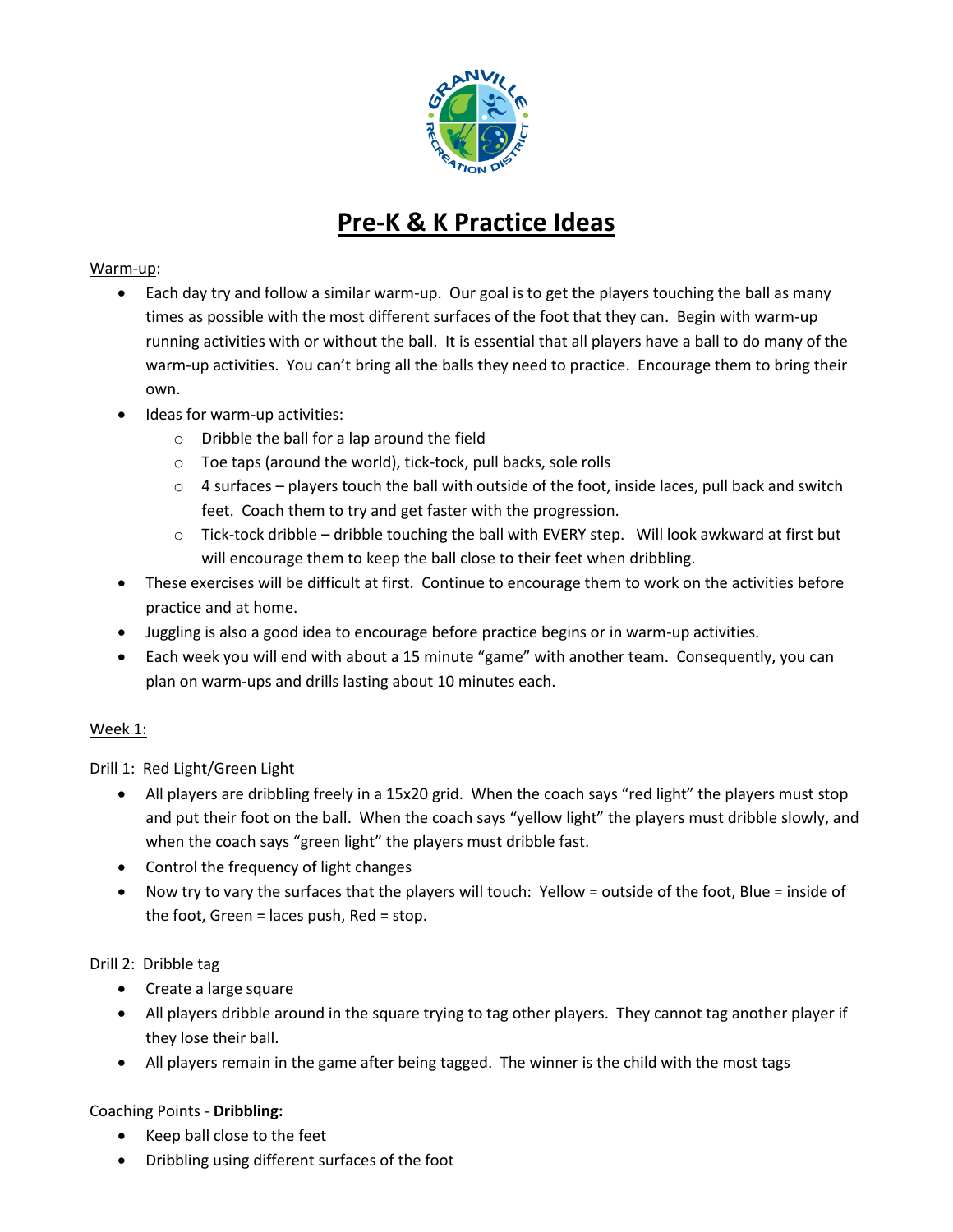

# **Pre-K & K Practice Ideas**

## Warm-up:

- Each day try and follow a similar warm-up. Our goal is to get the players touching the ball as many times as possible with the most different surfaces of the foot that they can. Begin with warm-up running activities with or without the ball. It is essential that all players have a ball to do many of the warm-up activities. You can't bring all the balls they need to practice. Encourage them to bring their own.
- Ideas for warm-up activities:
	- o Dribble the ball for a lap around the field
	- o Toe taps (around the world), tick-tock, pull backs, sole rolls
	- $\circ$  4 surfaces players touch the ball with outside of the foot, inside laces, pull back and switch feet. Coach them to try and get faster with the progression.
	- $\circ$  Tick-tock dribble dribble touching the ball with EVERY step. Will look awkward at first but will encourage them to keep the ball close to their feet when dribbling.
- These exercises will be difficult at first. Continue to encourage them to work on the activities before practice and at home.
- Juggling is also a good idea to encourage before practice begins or in warm-up activities.
- Each week you will end with about a 15 minute "game" with another team. Consequently, you can plan on warm-ups and drills lasting about 10 minutes each.

# Week 1:

Drill 1: Red Light/Green Light

- All players are dribbling freely in a 15x20 grid. When the coach says "red light" the players must stop and put their foot on the ball. When the coach says "yellow light" the players must dribble slowly, and when the coach says "green light" the players must dribble fast.
- Control the frequency of light changes
- Now try to vary the surfaces that the players will touch: Yellow = outside of the foot, Blue = inside of the foot, Green = laces push, Red = stop.

# Drill 2: Dribble tag

- Create a large square
- All players dribble around in the square trying to tag other players. They cannot tag another player if they lose their ball.
- All players remain in the game after being tagged. The winner is the child with the most tags

# Coaching Points - **Dribbling:**

- Keep ball close to the feet
- Dribbling using different surfaces of the foot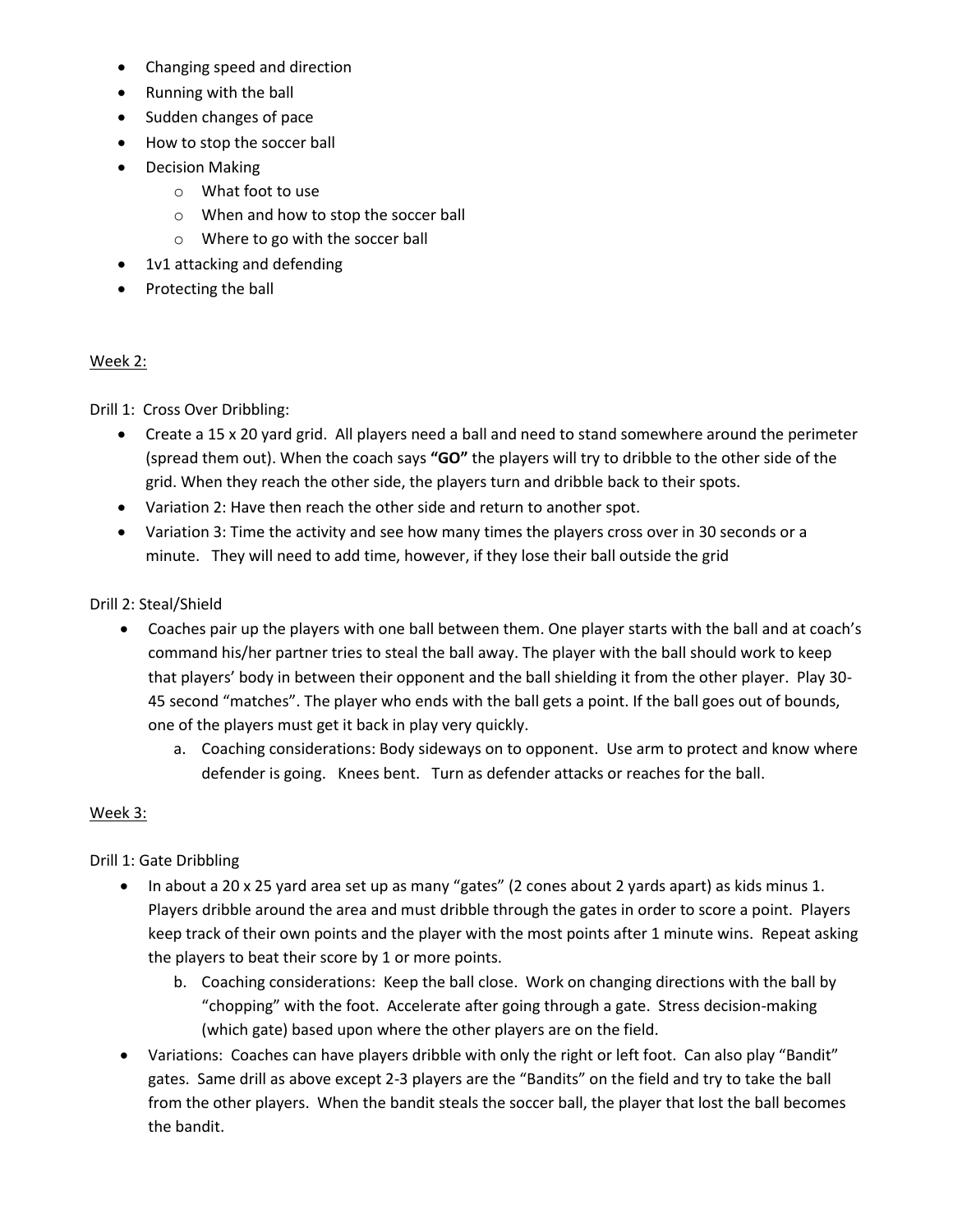- Changing speed and direction
- Running with the ball
- Sudden changes of pace
- How to stop the soccer ball
- Decision Making
	- o What foot to use
	- o When and how to stop the soccer ball
	- o Where to go with the soccer ball
- 1v1 attacking and defending
- Protecting the ball

#### Week 2:

Drill 1: Cross Over Dribbling:

- Create a 15 x 20 yard grid. All players need a ball and need to stand somewhere around the perimeter (spread them out). When the coach says **"GO"** the players will try to dribble to the other side of the grid. When they reach the other side, the players turn and dribble back to their spots.
- Variation 2: Have then reach the other side and return to another spot.
- Variation 3: Time the activity and see how many times the players cross over in 30 seconds or a minute. They will need to add time, however, if they lose their ball outside the grid

#### Drill 2: Steal/Shield

- Coaches pair up the players with one ball between them. One player starts with the ball and at coach's command his/her partner tries to steal the ball away. The player with the ball should work to keep that players' body in between their opponent and the ball shielding it from the other player. Play 30- 45 second "matches". The player who ends with the ball gets a point. If the ball goes out of bounds, one of the players must get it back in play very quickly.
	- a. Coaching considerations: Body sideways on to opponent. Use arm to protect and know where defender is going. Knees bent. Turn as defender attacks or reaches for the ball.

#### Week 3:

Drill 1: Gate Dribbling

- In about a 20 x 25 yard area set up as many "gates" (2 cones about 2 yards apart) as kids minus 1. Players dribble around the area and must dribble through the gates in order to score a point. Players keep track of their own points and the player with the most points after 1 minute wins. Repeat asking the players to beat their score by 1 or more points.
	- b. Coaching considerations: Keep the ball close. Work on changing directions with the ball by "chopping" with the foot. Accelerate after going through a gate. Stress decision-making (which gate) based upon where the other players are on the field.
- Variations: Coaches can have players dribble with only the right or left foot. Can also play "Bandit" gates. Same drill as above except 2-3 players are the "Bandits" on the field and try to take the ball from the other players. When the bandit steals the soccer ball, the player that lost the ball becomes the bandit.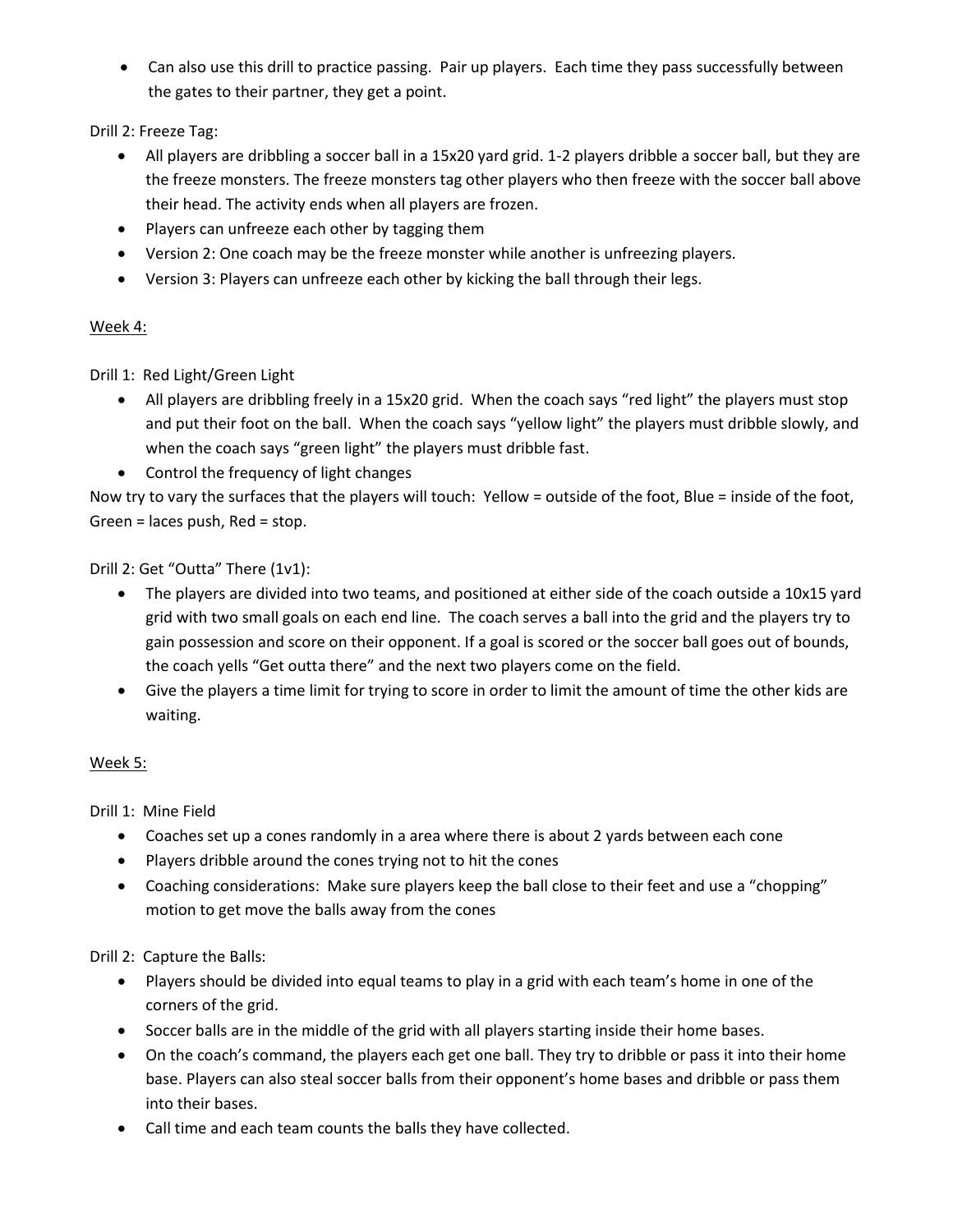• Can also use this drill to practice passing. Pair up players. Each time they pass successfully between the gates to their partner, they get a point.

Drill 2: Freeze Tag:

- All players are dribbling a soccer ball in a 15x20 yard grid. 1-2 players dribble a soccer ball, but they are the freeze monsters. The freeze monsters tag other players who then freeze with the soccer ball above their head. The activity ends when all players are frozen.
- Players can unfreeze each other by tagging them
- Version 2: One coach may be the freeze monster while another is unfreezing players.
- Version 3: Players can unfreeze each other by kicking the ball through their legs.

## Week 4:

Drill 1: Red Light/Green Light

- All players are dribbling freely in a 15x20 grid. When the coach says "red light" the players must stop and put their foot on the ball. When the coach says "yellow light" the players must dribble slowly, and when the coach says "green light" the players must dribble fast.
- Control the frequency of light changes

Now try to vary the surfaces that the players will touch: Yellow = outside of the foot, Blue = inside of the foot, Green = laces push, Red = stop.

Drill 2: Get "Outta" There (1v1):

- The players are divided into two teams, and positioned at either side of the coach outside a 10x15 yard grid with two small goals on each end line. The coach serves a ball into the grid and the players try to gain possession and score on their opponent. If a goal is scored or the soccer ball goes out of bounds, the coach yells "Get outta there" and the next two players come on the field.
- Give the players a time limit for trying to score in order to limit the amount of time the other kids are waiting.

## Week 5:

Drill 1: Mine Field

- Coaches set up a cones randomly in a area where there is about 2 yards between each cone
- Players dribble around the cones trying not to hit the cones
- Coaching considerations: Make sure players keep the ball close to their feet and use a "chopping" motion to get move the balls away from the cones

Drill 2: Capture the Balls:

- Players should be divided into equal teams to play in a grid with each team's home in one of the corners of the grid.
- Soccer balls are in the middle of the grid with all players starting inside their home bases.
- On the coach's command, the players each get one ball. They try to dribble or pass it into their home base. Players can also steal soccer balls from their opponent's home bases and dribble or pass them into their bases.
- Call time and each team counts the balls they have collected.